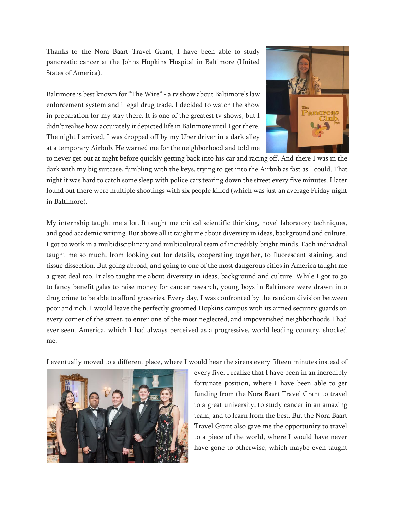Thanks to the Nora Baart Travel Grant, I have been able to study pancreatic cancer at the Johns Hopkins Hospital in Baltimore (United States of America).

Baltimore is best known for "The Wire" - a tv show about Baltimore's law enforcement system and illegal drug trade. I decided to watch the show in preparation for my stay there. It is one of the greatest tv shows, but I didn't realise how accurately it depicted life in Baltimore until I got there. The night I arrived, I was dropped off by my Uber driver in a dark alley at a temporary Airbnb. He warned me for the neighborhood and told me



to never get out at night before quickly getting back into his car and racing off. And there I was in the dark with my big suitcase, fumbling with the keys, trying to get into the Airbnb as fast as I could. That night it was hard to catch some sleep with police cars tearing down the street every five minutes. I later found out there were multiple shootings with six people killed (which was just an average Friday night in Baltimore).

My internship taught me a lot. It taught me critical scientific thinking, novel laboratory techniques, and good academic writing. But above all it taught me about diversity in ideas, background and culture. I got to work in a multidisciplinary and multicultural team of incredibly bright minds. Each individual taught me so much, from looking out for details, cooperating together, to fluorescent staining, and tissue dissection. But going abroad, and going to one of the most dangerous cities in America taught me a great deal too. It also taught me about diversity in ideas, background and culture. While I got to go to fancy benefit galas to raise money for cancer research, young boys in Baltimore were drawn into drug crime to be able to afford groceries. Every day, I was confronted by the random division between poor and rich. I would leave the perfectly groomed Hopkins campus with its armed security guards on every corner of the street, to enter one of the most neglected, and impoverished neighborhoods I had ever seen. America, which I had always perceived as a progressive, world leading country, shocked me.

I eventually moved to a different place, where I would hear the sirens every fifteen minutes instead of



every five. I realize that I have been in an incredibly fortunate position, where I have been able to get funding from the Nora Baart Travel Grant to travel to a great university, to study cancer in an amazing team, and to learn from the best. But the Nora Baart Travel Grant also gave me the opportunity to travel to a piece of the world, where I would have never have gone to otherwise, which maybe even taught